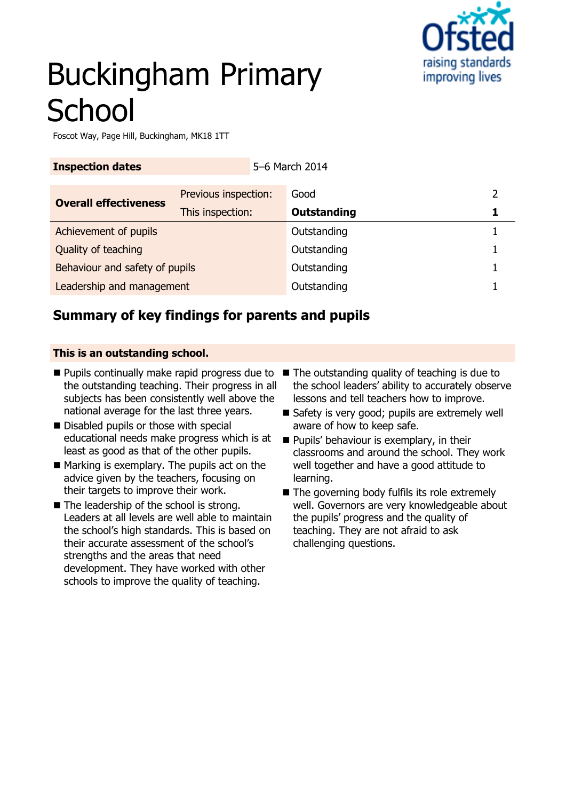

# Buckingham Primary **School**

Foscot Way, Page Hill, Buckingham, MK18 1TT

| <b>Inspection dates</b>        |                      | 5-6 March 2014 |                    |   |
|--------------------------------|----------------------|----------------|--------------------|---|
| <b>Overall effectiveness</b>   | Previous inspection: |                | Good               | າ |
|                                | This inspection:     |                | <b>Outstanding</b> |   |
| Achievement of pupils          |                      |                | Outstanding        |   |
| Quality of teaching            |                      |                | Outstanding        |   |
| Behaviour and safety of pupils |                      |                | Outstanding        |   |
| Leadership and management      |                      |                | Outstanding        |   |

### **Summary of key findings for parents and pupils**

### **This is an outstanding school.**

- $\blacksquare$  Pupils continually make rapid progress due to  $\blacksquare$  The outstanding quality of teaching is due to the outstanding teaching. Their progress in all subjects has been consistently well above the national average for the last three years.
- Disabled pupils or those with special educational needs make progress which is at least as good as that of the other pupils.
- $\blacksquare$  Marking is exemplary. The pupils act on the advice given by the teachers, focusing on their targets to improve their work.
- The leadership of the school is strong. Leaders at all levels are well able to maintain the school's high standards. This is based on their accurate assessment of the school's strengths and the areas that need development. They have worked with other schools to improve the quality of teaching.
- the school leaders' ability to accurately observe lessons and tell teachers how to improve.
- Safety is very good; pupils are extremely well aware of how to keep safe.
- **Pupils' behaviour is exemplary, in their** classrooms and around the school. They work well together and have a good attitude to learning.
- $\blacksquare$  The governing body fulfils its role extremely well. Governors are very knowledgeable about the pupils' progress and the quality of teaching. They are not afraid to ask challenging questions.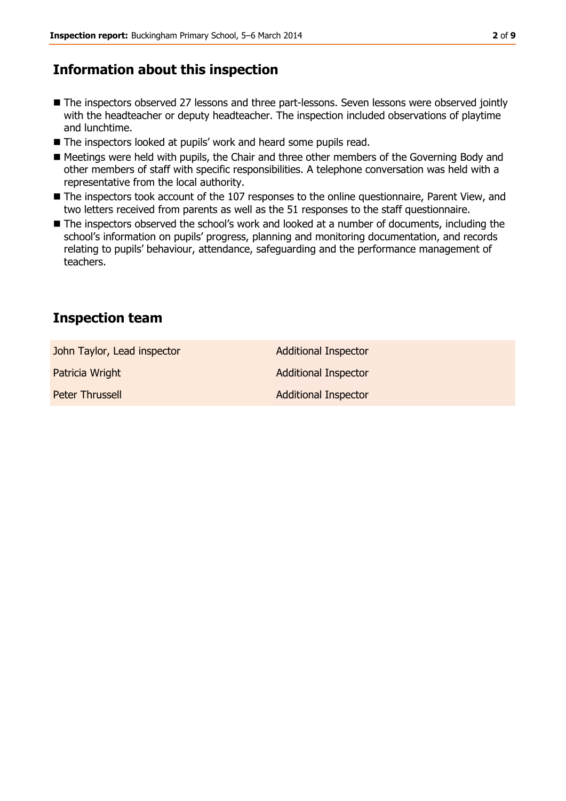### **Information about this inspection**

- The inspectors observed 27 lessons and three part-lessons. Seven lessons were observed jointly with the headteacher or deputy headteacher. The inspection included observations of playtime and lunchtime.
- The inspectors looked at pupils' work and heard some pupils read.
- Meetings were held with pupils, the Chair and three other members of the Governing Body and other members of staff with specific responsibilities. A telephone conversation was held with a representative from the local authority.
- **The inspectors took account of the 107 responses to the online questionnaire, Parent View, and** two letters received from parents as well as the 51 responses to the staff questionnaire.
- The inspectors observed the school's work and looked at a number of documents, including the school's information on pupils' progress, planning and monitoring documentation, and records relating to pupils' behaviour, attendance, safeguarding and the performance management of teachers.

### **Inspection team**

| John Taylor, Lead inspector | <b>Additional Inspector</b> |
|-----------------------------|-----------------------------|
| Patricia Wright             | <b>Additional Inspector</b> |
| Peter Thrussell             | <b>Additional Inspector</b> |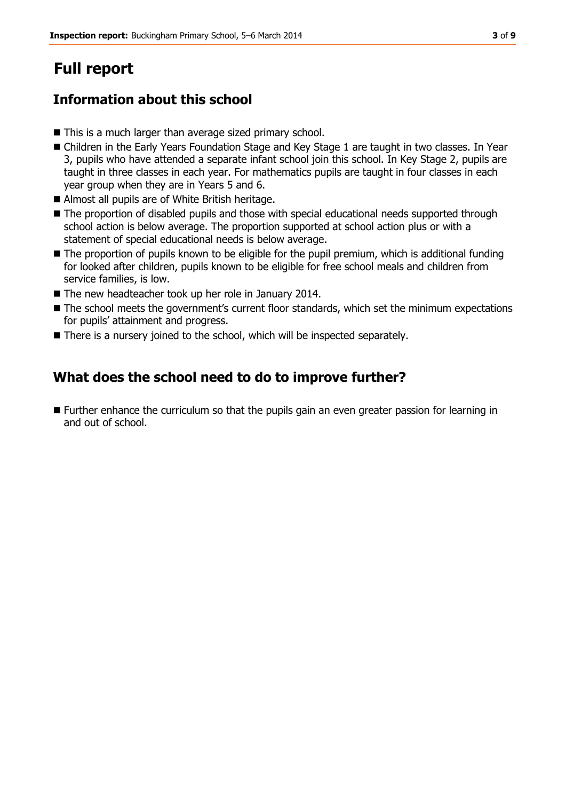## **Full report**

### **Information about this school**

- This is a much larger than average sized primary school.
- Children in the Early Years Foundation Stage and Key Stage 1 are taught in two classes. In Year 3, pupils who have attended a separate infant school join this school. In Key Stage 2, pupils are taught in three classes in each year. For mathematics pupils are taught in four classes in each year group when they are in Years 5 and 6.
- Almost all pupils are of White British heritage.
- The proportion of disabled pupils and those with special educational needs supported through school action is below average. The proportion supported at school action plus or with a statement of special educational needs is below average.
- The proportion of pupils known to be eligible for the pupil premium, which is additional funding for looked after children, pupils known to be eligible for free school meals and children from service families, is low.
- The new headteacher took up her role in January 2014.
- The school meets the government's current floor standards, which set the minimum expectations for pupils' attainment and progress.
- There is a nursery joined to the school, which will be inspected separately.

### **What does the school need to do to improve further?**

**Further enhance the curriculum so that the pupils gain an even greater passion for learning in** and out of school.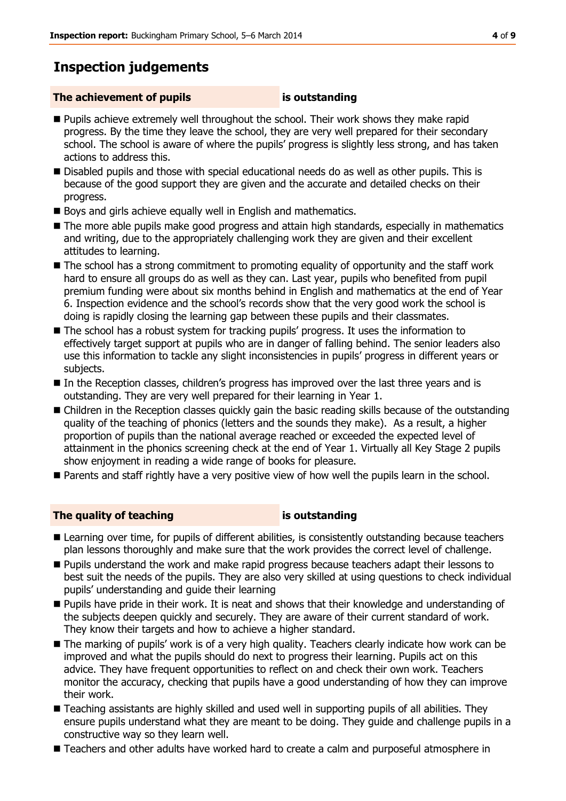### **Inspection judgements**

#### **The achievement of pupils is outstanding**

- **Pupils achieve extremely well throughout the school. Their work shows they make rapid** progress. By the time they leave the school, they are very well prepared for their secondary school. The school is aware of where the pupils' progress is slightly less strong, and has taken actions to address this.
- Disabled pupils and those with special educational needs do as well as other pupils. This is because of the good support they are given and the accurate and detailed checks on their progress.
- Boys and girls achieve equally well in English and mathematics.
- The more able pupils make good progress and attain high standards, especially in mathematics and writing, due to the appropriately challenging work they are given and their excellent attitudes to learning.
- The school has a strong commitment to promoting equality of opportunity and the staff work hard to ensure all groups do as well as they can. Last year, pupils who benefited from pupil premium funding were about six months behind in English and mathematics at the end of Year 6. Inspection evidence and the school's records show that the very good work the school is doing is rapidly closing the learning gap between these pupils and their classmates.
- The school has a robust system for tracking pupils' progress. It uses the information to effectively target support at pupils who are in danger of falling behind. The senior leaders also use this information to tackle any slight inconsistencies in pupils' progress in different years or subjects.
- In the Reception classes, children's progress has improved over the last three years and is outstanding. They are very well prepared for their learning in Year 1.
- Children in the Reception classes quickly gain the basic reading skills because of the outstanding quality of the teaching of phonics (letters and the sounds they make). As a result, a higher proportion of pupils than the national average reached or exceeded the expected level of attainment in the phonics screening check at the end of Year 1. Virtually all Key Stage 2 pupils show enjoyment in reading a wide range of books for pleasure.
- **Parents and staff rightly have a very positive view of how well the pupils learn in the school.**

### **The quality of teaching is outstanding**

- Learning over time, for pupils of different abilities, is consistently outstanding because teachers plan lessons thoroughly and make sure that the work provides the correct level of challenge.
- **Pupils understand the work and make rapid progress because teachers adapt their lessons to** best suit the needs of the pupils. They are also very skilled at using questions to check individual pupils' understanding and guide their learning
- **Pupils have pride in their work. It is neat and shows that their knowledge and understanding of** the subjects deepen quickly and securely. They are aware of their current standard of work. They know their targets and how to achieve a higher standard.
- The marking of pupils' work is of a very high quality. Teachers clearly indicate how work can be improved and what the pupils should do next to progress their learning. Pupils act on this advice. They have frequent opportunities to reflect on and check their own work. Teachers monitor the accuracy, checking that pupils have a good understanding of how they can improve their work.
- Teaching assistants are highly skilled and used well in supporting pupils of all abilities. They ensure pupils understand what they are meant to be doing. They guide and challenge pupils in a constructive way so they learn well.
- Teachers and other adults have worked hard to create a calm and purposeful atmosphere in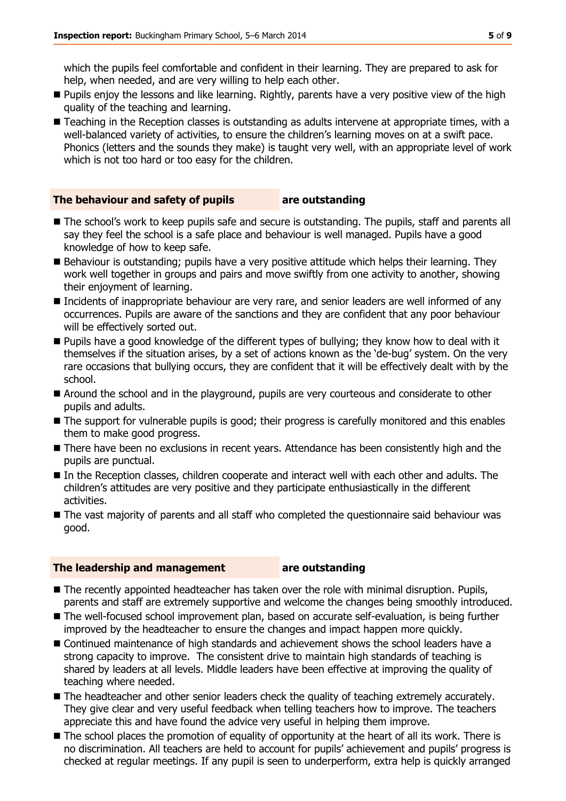which the pupils feel comfortable and confident in their learning. They are prepared to ask for help, when needed, and are very willing to help each other.

- Pupils enjoy the lessons and like learning. Rightly, parents have a very positive view of the high quality of the teaching and learning.
- Teaching in the Reception classes is outstanding as adults intervene at appropriate times, with a well-balanced variety of activities, to ensure the children's learning moves on at a swift pace. Phonics (letters and the sounds they make) is taught very well, with an appropriate level of work which is not too hard or too easy for the children.

#### **The behaviour and safety of pupils are outstanding**

- 
- $\blacksquare$  The school's work to keep pupils safe and secure is outstanding. The pupils, staff and parents all say they feel the school is a safe place and behaviour is well managed. Pupils have a good knowledge of how to keep safe.
- Behaviour is outstanding; pupils have a very positive attitude which helps their learning. They work well together in groups and pairs and move swiftly from one activity to another, showing their enjoyment of learning.
- **Incidents of inappropriate behaviour are very rare, and senior leaders are well informed of any** occurrences. Pupils are aware of the sanctions and they are confident that any poor behaviour will be effectively sorted out.
- Pupils have a good knowledge of the different types of bullying; they know how to deal with it themselves if the situation arises, by a set of actions known as the 'de-bug' system. On the very rare occasions that bullying occurs, they are confident that it will be effectively dealt with by the school.
- Around the school and in the playground, pupils are very courteous and considerate to other pupils and adults.
- The support for vulnerable pupils is good; their progress is carefully monitored and this enables them to make good progress.
- There have been no exclusions in recent years. Attendance has been consistently high and the pupils are punctual.
- In the Reception classes, children cooperate and interact well with each other and adults. The children's attitudes are very positive and they participate enthusiastically in the different activities.
- The vast majority of parents and all staff who completed the questionnaire said behaviour was good.

#### **The leadership and management are outstanding**

- The recently appointed headteacher has taken over the role with minimal disruption. Pupils, parents and staff are extremely supportive and welcome the changes being smoothly introduced.
- The well-focused school improvement plan, based on accurate self-evaluation, is being further improved by the headteacher to ensure the changes and impact happen more quickly.
- Continued maintenance of high standards and achievement shows the school leaders have a strong capacity to improve. The consistent drive to maintain high standards of teaching is shared by leaders at all levels. Middle leaders have been effective at improving the quality of teaching where needed.
- The headteacher and other senior leaders check the quality of teaching extremely accurately. They give clear and very useful feedback when telling teachers how to improve. The teachers appreciate this and have found the advice very useful in helping them improve.
- $\blacksquare$  The school places the promotion of equality of opportunity at the heart of all its work. There is no discrimination. All teachers are held to account for pupils' achievement and pupils' progress is checked at regular meetings. If any pupil is seen to underperform, extra help is quickly arranged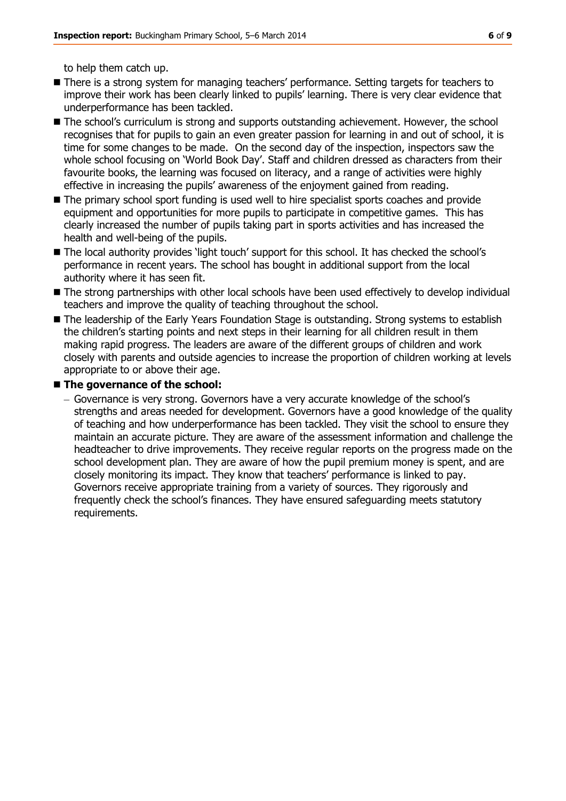to help them catch up.

- There is a strong system for managing teachers' performance. Setting targets for teachers to improve their work has been clearly linked to pupils' learning. There is very clear evidence that underperformance has been tackled.
- $\blacksquare$  The school's curriculum is strong and supports outstanding achievement. However, the school recognises that for pupils to gain an even greater passion for learning in and out of school, it is time for some changes to be made. On the second day of the inspection, inspectors saw the whole school focusing on 'World Book Day'. Staff and children dressed as characters from their favourite books, the learning was focused on literacy, and a range of activities were highly effective in increasing the pupils' awareness of the enjoyment gained from reading.
- The primary school sport funding is used well to hire specialist sports coaches and provide equipment and opportunities for more pupils to participate in competitive games. This has clearly increased the number of pupils taking part in sports activities and has increased the health and well-being of the pupils.
- The local authority provides 'light touch' support for this school. It has checked the school's performance in recent years. The school has bought in additional support from the local authority where it has seen fit.
- The strong partnerships with other local schools have been used effectively to develop individual teachers and improve the quality of teaching throughout the school.
- The leadership of the Early Years Foundation Stage is outstanding. Strong systems to establish the children's starting points and next steps in their learning for all children result in them making rapid progress. The leaders are aware of the different groups of children and work closely with parents and outside agencies to increase the proportion of children working at levels appropriate to or above their age.

#### ■ The governance of the school:

Governance is very strong. Governors have a very accurate knowledge of the school's strengths and areas needed for development. Governors have a good knowledge of the quality of teaching and how underperformance has been tackled. They visit the school to ensure they maintain an accurate picture. They are aware of the assessment information and challenge the headteacher to drive improvements. They receive regular reports on the progress made on the school development plan. They are aware of how the pupil premium money is spent, and are closely monitoring its impact. They know that teachers' performance is linked to pay. Governors receive appropriate training from a variety of sources. They rigorously and frequently check the school's finances. They have ensured safeguarding meets statutory requirements.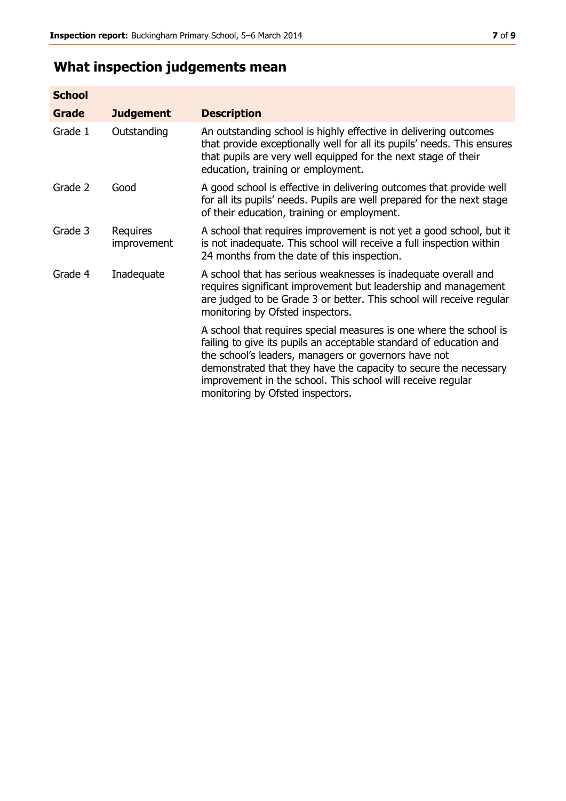## **What inspection judgements mean**

| <b>School</b> |                         |                                                                                                                                                                                                                                                                                                                                                                         |
|---------------|-------------------------|-------------------------------------------------------------------------------------------------------------------------------------------------------------------------------------------------------------------------------------------------------------------------------------------------------------------------------------------------------------------------|
| Grade         | <b>Judgement</b>        | <b>Description</b>                                                                                                                                                                                                                                                                                                                                                      |
| Grade 1       | Outstanding             | An outstanding school is highly effective in delivering outcomes<br>that provide exceptionally well for all its pupils' needs. This ensures<br>that pupils are very well equipped for the next stage of their<br>education, training or employment.                                                                                                                     |
| Grade 2       | Good                    | A good school is effective in delivering outcomes that provide well<br>for all its pupils' needs. Pupils are well prepared for the next stage<br>of their education, training or employment.                                                                                                                                                                            |
| Grade 3       | Requires<br>improvement | A school that requires improvement is not yet a good school, but it<br>is not inadequate. This school will receive a full inspection within<br>24 months from the date of this inspection.                                                                                                                                                                              |
| Grade 4       | Inadequate              | A school that has serious weaknesses is inadequate overall and<br>requires significant improvement but leadership and management<br>are judged to be Grade 3 or better. This school will receive regular<br>monitoring by Ofsted inspectors.                                                                                                                            |
|               |                         | A school that requires special measures is one where the school is<br>failing to give its pupils an acceptable standard of education and<br>the school's leaders, managers or governors have not<br>demonstrated that they have the capacity to secure the necessary<br>improvement in the school. This school will receive regular<br>monitoring by Ofsted inspectors. |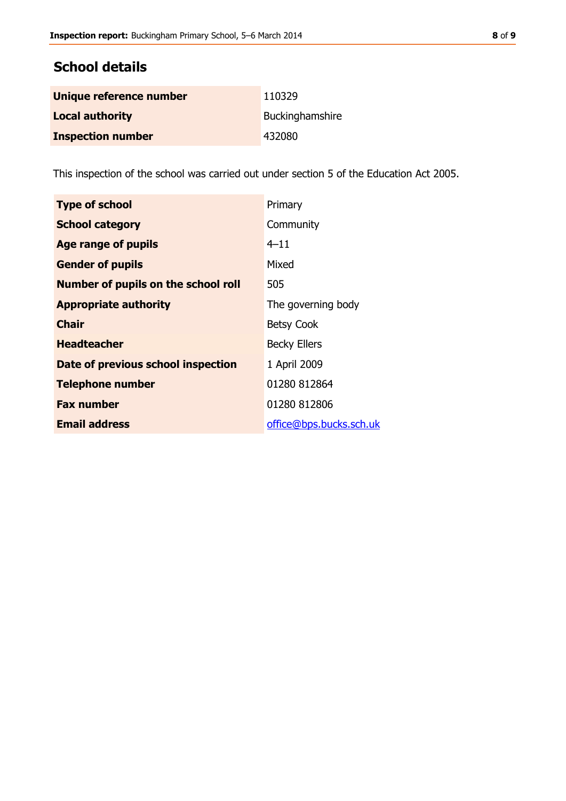### **School details**

| Unique reference number  | 110329          |
|--------------------------|-----------------|
| <b>Local authority</b>   | Buckinghamshire |
| <b>Inspection number</b> | 432080          |

This inspection of the school was carried out under section 5 of the Education Act 2005.

| <b>Type of school</b>                      | Primary                 |
|--------------------------------------------|-------------------------|
| <b>School category</b>                     | Community               |
| Age range of pupils                        | $4 - 11$                |
| <b>Gender of pupils</b>                    | Mixed                   |
| <b>Number of pupils on the school roll</b> | 505                     |
| <b>Appropriate authority</b>               | The governing body      |
| <b>Chair</b>                               | <b>Betsy Cook</b>       |
| <b>Headteacher</b>                         | <b>Becky Ellers</b>     |
| Date of previous school inspection         | 1 April 2009            |
| <b>Telephone number</b>                    | 01280 812864            |
| <b>Fax number</b>                          | 01280 812806            |
| <b>Email address</b>                       | office@bps.bucks.sch.uk |